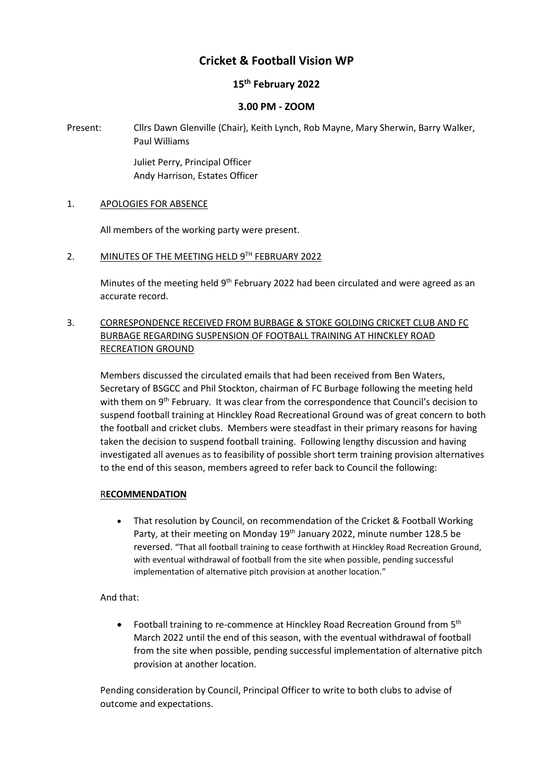# **Cricket & Football Vision WP**

# **15th February 2022**

#### **3.00 PM - ZOOM**

Present: Cllrs Dawn Glenville (Chair), Keith Lynch, Rob Mayne, Mary Sherwin, Barry Walker, Paul Williams

> Juliet Perry, Principal Officer Andy Harrison, Estates Officer

#### 1. APOLOGIES FOR ABSENCE

All members of the working party were present.

2. MINUTES OF THE MEETING HELD 9TH FEBRUARY 2022

Minutes of the meeting held 9<sup>th</sup> February 2022 had been circulated and were agreed as an accurate record.

# 3. CORRESPONDENCE RECEIVED FROM BURBAGE & STOKE GOLDING CRICKET CLUB AND FC BURBAGE REGARDING SUSPENSION OF FOOTBALL TRAINING AT HINCKLEY ROAD RECREATION GROUND

Members discussed the circulated emails that had been received from Ben Waters, Secretary of BSGCC and Phil Stockton, chairman of FC Burbage following the meeting held with them on 9<sup>th</sup> February. It was clear from the correspondence that Council's decision to suspend football training at Hinckley Road Recreational Ground was of great concern to both the football and cricket clubs. Members were steadfast in their primary reasons for having taken the decision to suspend football training. Following lengthy discussion and having investigated all avenues as to feasibility of possible short term training provision alternatives to the end of this season, members agreed to refer back to Council the following:

#### R**ECOMMENDATION**

• That resolution by Council, on recommendation of the Cricket & Football Working Party, at their meeting on Monday 19<sup>th</sup> January 2022, minute number 128.5 be reversed. "That all football training to cease forthwith at Hinckley Road Recreation Ground, with eventual withdrawal of football from the site when possible, pending successful implementation of alternative pitch provision at another location."

# And that:

• Football training to re-commence at Hinckley Road Recreation Ground from 5<sup>th</sup> March 2022 until the end of this season, with the eventual withdrawal of football from the site when possible, pending successful implementation of alternative pitch provision at another location.

Pending consideration by Council, Principal Officer to write to both clubs to advise of outcome and expectations.